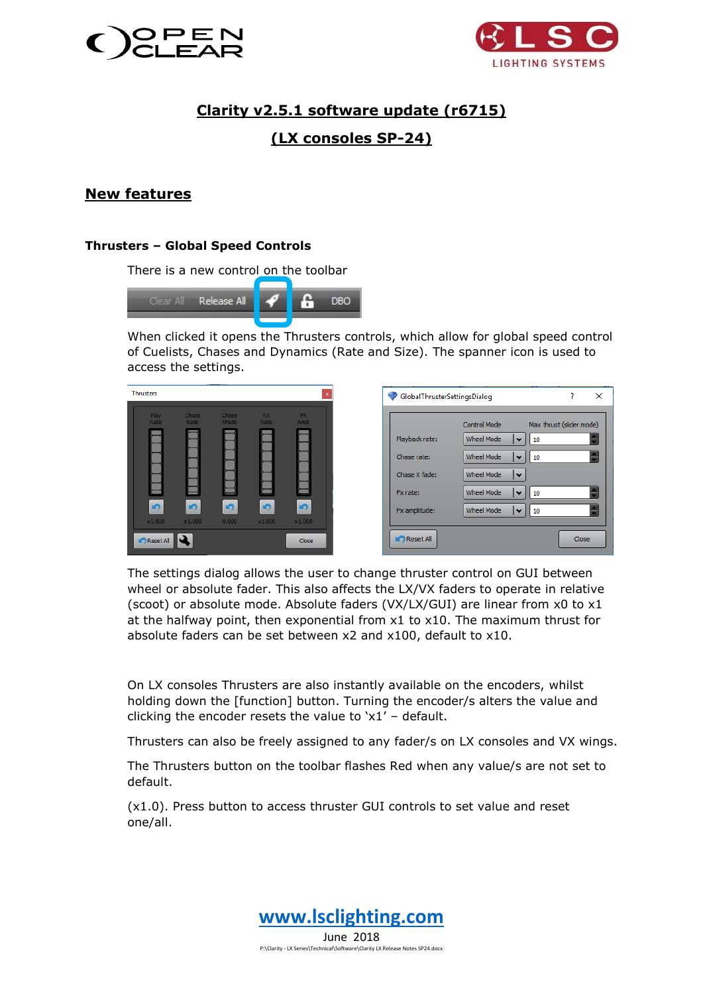



# **Clarity v2.5.1 software update (r6715)**

# **(LX consoles SP-24)**

## **New features**

#### **Thrusters – Global Speed Controls**

There is a new control on the toolbar



When clicked it opens the Thrusters controls, which allow for global speed control of Cuelists, Chases and Dynamics (Rate and Size). The spanner icon is used to access the settings.

| <b>Thrusters</b> |                     |                      |                              |                          | $\mathbf{x}$        |
|------------------|---------------------|----------------------|------------------------------|--------------------------|---------------------|
|                  | Play<br>Rate        | <b>Chase</b><br>Rate | <b>Chase</b><br><b>XFade</b> | <b>RX</b><br>Rate        | <b>FX</b><br>Ampl   |
|                  |                     |                      |                              |                          |                     |
|                  |                     |                      |                              |                          |                     |
|                  |                     |                      |                              |                          |                     |
|                  |                     |                      |                              |                          |                     |
|                  | $\bullet$<br>x1.000 | $\bullet$<br>x1.000  | $\bullet$<br>0.000           | $\blacksquare$<br>x1.000 | $\bullet$<br>x1.000 |
|                  | Reset All           |                      |                              |                          | Close               |

The settings dialog allows the user to change thruster control on GUI between wheel or absolute fader. This also affects the LX/VX faders to operate in relative (scoot) or absolute mode. Absolute faders (VX/LX/GUI) are linear from x0 to x1 at the halfway point, then exponential from x1 to x10. The maximum thrust for absolute faders can be set between x2 and x100, default to x10.

On LX consoles Thrusters are also instantly available on the encoders, whilst holding down the [function] button. Turning the encoder/s alters the value and clicking the encoder resets the value to 'x1' – default.

Thrusters can also be freely assigned to any fader/s on LX consoles and VX wings.

The Thrusters button on the toolbar flashes Red when any value/s are not set to default.

(x1.0). Press button to access thruster GUI controls to set value and reset one/all.

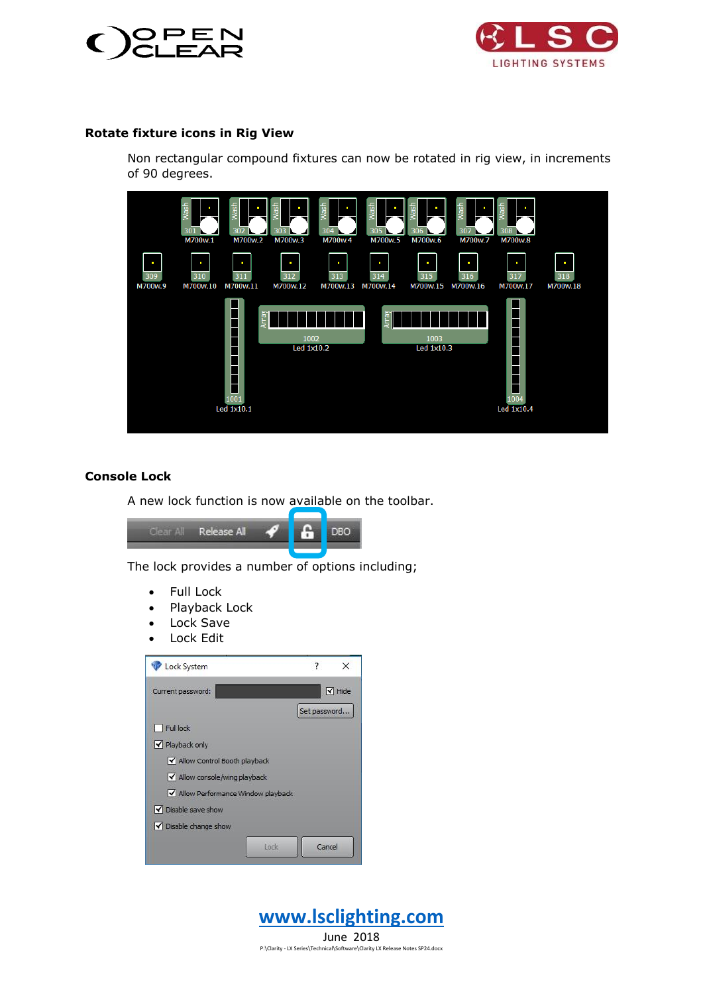



#### **Rotate fixture icons in Rig View**

Non rectangular compound fixtures can now be rotated in rig view, in increments of 90 degrees.



### **Console Lock**

A new lock function is now available on the toolbar.



The lock provides a number of options including;

- Full Lock
- Playback Lock
- Lock Save
- Lock Edit

| Lock System                         | $\overline{\mathbf{?}}$<br>× |
|-------------------------------------|------------------------------|
| Current password:                   | $\blacktriangleright$ Hide   |
|                                     | Set password                 |
| Full lock                           |                              |
| V Playback only                     |                              |
| M Allow Control Booth playback      |                              |
| M Allow console/wing playback       |                              |
| M Allow Performance Window playback |                              |
| V Disable save show                 |                              |
| V Disable change show               |                              |
| Lock                                | Cancel                       |

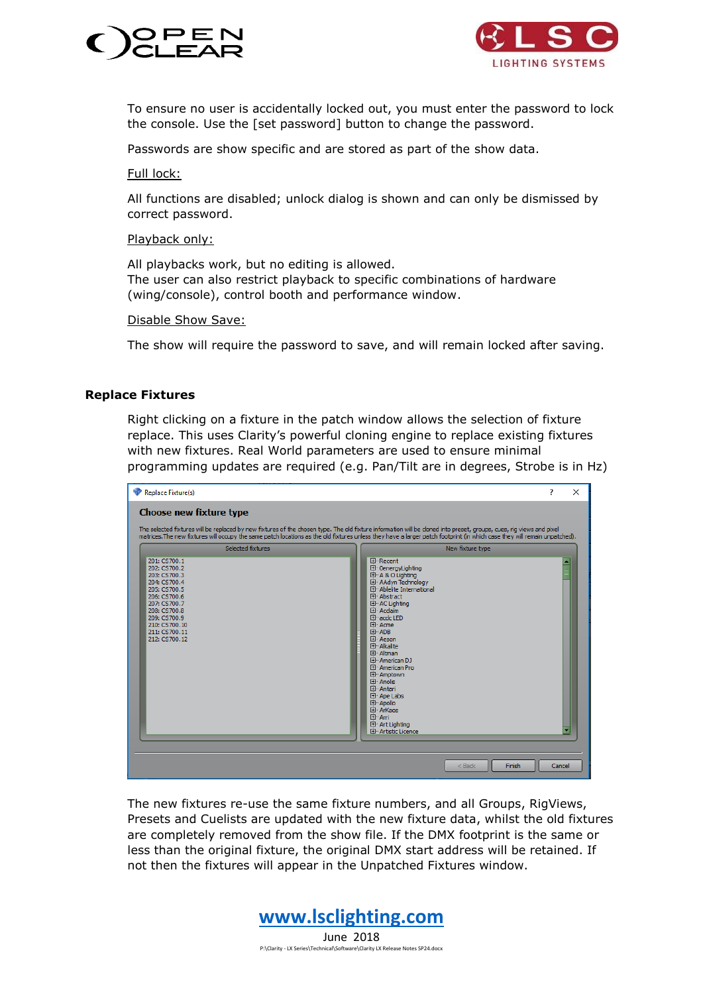



To ensure no user is accidentally locked out, you must enter the password to lock the console. Use the [set password] button to change the password.

Passwords are show specific and are stored as part of the show data.

Full lock:

All functions are disabled; unlock dialog is shown and can only be dismissed by correct password.

Playback only:

All playbacks work, but no editing is allowed. The user can also restrict playback to specific combinations of hardware (wing/console), control booth and performance window.

Disable Show Save:

The show will require the password to save, and will remain locked after saving.

#### **Replace Fixtures**

Right clicking on a fixture in the patch window allows the selection of fixture replace. This uses Clarity's powerful cloning engine to replace existing fixtures with new fixtures. Real World parameters are used to ensure minimal programming updates are required (e.g. Pan/Tilt are in degrees, Strobe is in Hz)



The new fixtures re-use the same fixture numbers, and all Groups, RigViews, Presets and Cuelists are updated with the new fixture data, whilst the old fixtures are completely removed from the show file. If the DMX footprint is the same or less than the original fixture, the original DMX start address will be retained. If not then the fixtures will appear in the Unpatched Fixtures window.

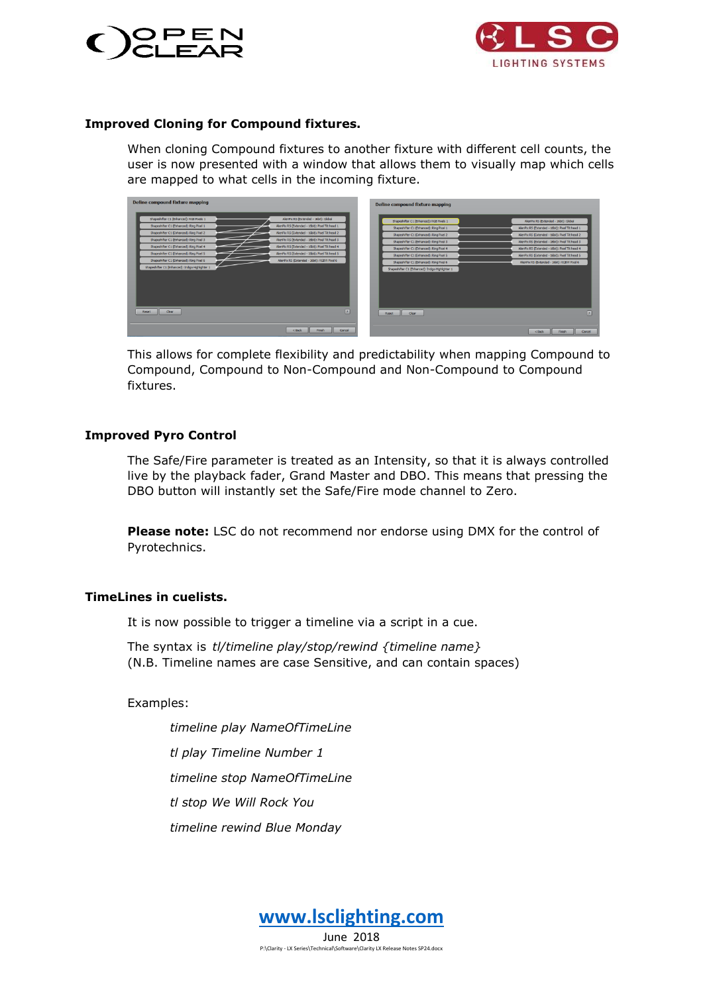



#### **Improved Cloning for Compound fixtures.**

When cloning Compound fixtures to another fixture with different cell counts, the user is now presented with a window that allows them to visually map which cells are mapped to what cells in the incoming fixture.

| Define compound fixture mapping                                                                                                                                                                                                                                                                                                                                                                                                                                                                                                                                                                                                                                                                                                                                  | Define compound fixture mapping                                                                                                                                                                                                                                                                                                                                      |                                                                                                                                                                                                                                                                                                                                                              |
|------------------------------------------------------------------------------------------------------------------------------------------------------------------------------------------------------------------------------------------------------------------------------------------------------------------------------------------------------------------------------------------------------------------------------------------------------------------------------------------------------------------------------------------------------------------------------------------------------------------------------------------------------------------------------------------------------------------------------------------------------------------|----------------------------------------------------------------------------------------------------------------------------------------------------------------------------------------------------------------------------------------------------------------------------------------------------------------------------------------------------------------------|--------------------------------------------------------------------------------------------------------------------------------------------------------------------------------------------------------------------------------------------------------------------------------------------------------------------------------------------------------------|
| Shapeshifter C1 (Enhanced): RGB Pixels 1<br>AlenPix RS (Extended - 16bit): Global<br>AlenPix RS (Extended - 16bit): Pixel Tilt head 1<br>Shapeshifter C1 (Enhanced): Ring Pixel 1<br>AllenPix RS (Extended - 16bit): Pixel Tilt head 2<br>Shapeshifter C1 (Enhanced): Ring Pixel 2<br>Shapeshifter C1 (Enhanced): Ring Pixel 3<br>AllenPix RS (Extended - 16bit): Pixel Tilt head 3<br>AllenPix RS (Extended - 16bit): Pixel Tilt head 4<br>Shapeshifter C1 (Enhanced): Ring Pixel 4<br>$\overline{\phantom{0}}$<br>AllenPix RS (Extended - 16bit): Pixel Tilt head 5<br>Shapeshifter C1 (Enhanced): Ring Pixel S<br>AlenPix RS (Extended - 16bit): RGBW Pixel 6<br>Shapeshifter C1 (Enhanced): Ring Pixel 6<br>Shapeshifter C1 (Enhanced): Indigo Highlighter 1 | Shapeshifter C1 (Enhanced): RGB Pixels 1<br>Shapeshifter C1 (Enhanced): Ring Pixel 1<br>Shapeshifter C1 (Enhanced): Ring Pixel 2<br>Shapeshifter C1 (Enhanced): Ring Pixel 3<br>Shapeshifter C1 (Enhanced): Ring Pixel 4<br>Shapeshifter C1 (Enhanced): Ring Pixel S<br>Shapeshifter C1 (Enhanced): Ring Pixel 6<br>Shapeshifter C1 (Enhanced): Indigo Highlighter 1 | AllenPix RS (Extended - 16bit): Global<br>AlerPix RS (Extended - 16bit): Pixel Tilt head 1<br>AllenPix RS (Extended - 16bit): Pixel Tilt head 2<br>AlerPix RS (Extended - 16bit): Pixel Tilt head 3<br>AllenPix RS (Extended - 16bit): Pixel Tilt head 4<br>AlerPix RS (Extended - 16bit): Pixel Tilt head 5<br>AlienPix RS (Extended - 16bit): RGBW Pixel 6 |
| Clear<br>Reset                                                                                                                                                                                                                                                                                                                                                                                                                                                                                                                                                                                                                                                                                                                                                   | $\boxed{?}$<br>Clear<br>Reset                                                                                                                                                                                                                                                                                                                                        | $\vert \cdot \vert$                                                                                                                                                                                                                                                                                                                                          |
| Finish<br>$<$ Back                                                                                                                                                                                                                                                                                                                                                                                                                                                                                                                                                                                                                                                                                                                                               | Cancel                                                                                                                                                                                                                                                                                                                                                               | $<$ Back<br>Cancel<br>Finish                                                                                                                                                                                                                                                                                                                                 |

This allows for complete flexibility and predictability when mapping Compound to Compound, Compound to Non-Compound and Non-Compound to Compound fixtures.

#### **Improved Pyro Control**

The Safe/Fire parameter is treated as an Intensity, so that it is always controlled live by the playback fader, Grand Master and DBO. This means that pressing the DBO button will instantly set the Safe/Fire mode channel to Zero.

**Please note:** LSC do not recommend nor endorse using DMX for the control of Pyrotechnics.

#### **TimeLines in cuelists.**

It is now possible to trigger a timeline via a script in a cue.

The syntax is *tl/timeline play/stop/rewind {timeline name}* (N.B. Timeline names are case Sensitive, and can contain spaces)

Examples:

*timeline play NameOfTimeLine tl play Timeline Number 1 timeline stop NameOfTimeLine tl stop We Will Rock You timeline rewind Blue Monday*

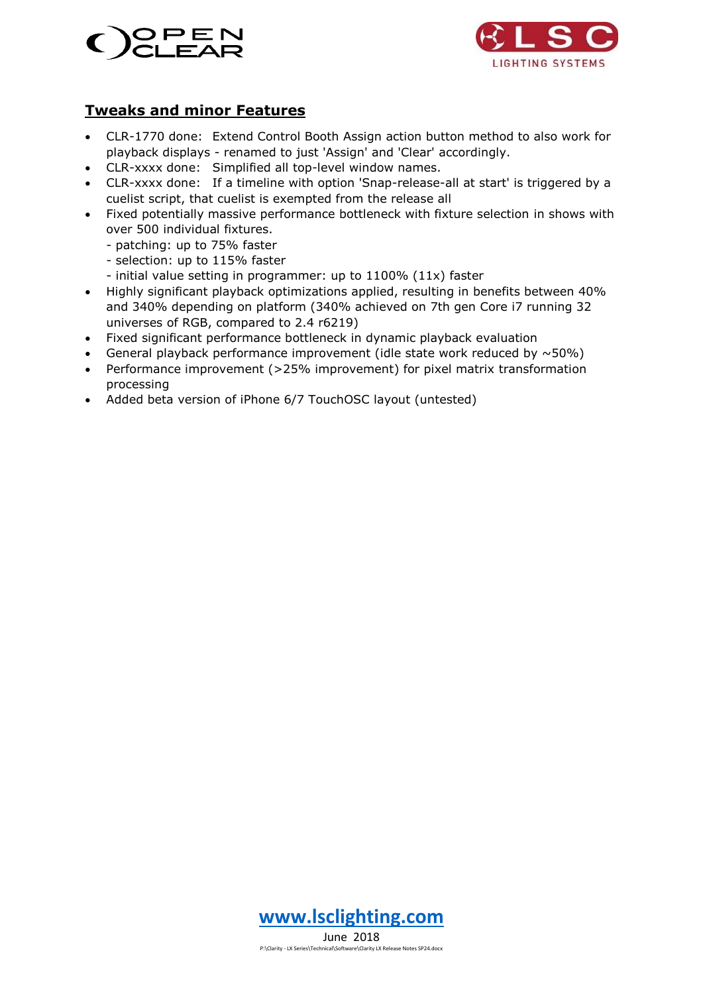



## **Tweaks and minor Features**

- CLR-1770 done: Extend Control Booth Assign action button method to also work for playback displays - renamed to just 'Assign' and 'Clear' accordingly.
- CLR-xxxx done: Simplified all top-level window names.
- CLR-xxxx done: If a timeline with option 'Snap-release-all at start' is triggered by a cuelist script, that cuelist is exempted from the release all
- Fixed potentially massive performance bottleneck with fixture selection in shows with over 500 individual fixtures.
	- patching: up to 75% faster
	- selection: up to 115% faster
	- initial value setting in programmer: up to 1100% (11x) faster
- Highly significant playback optimizations applied, resulting in benefits between 40% and 340% depending on platform (340% achieved on 7th gen Core i7 running 32 universes of RGB, compared to 2.4 r6219)
- Fixed significant performance bottleneck in dynamic playback evaluation
- General playback performance improvement (idle state work reduced by  $\sim$  50%)
- Performance improvement (>25% improvement) for pixel matrix transformation processing
- Added beta version of iPhone 6/7 TouchOSC layout (untested)